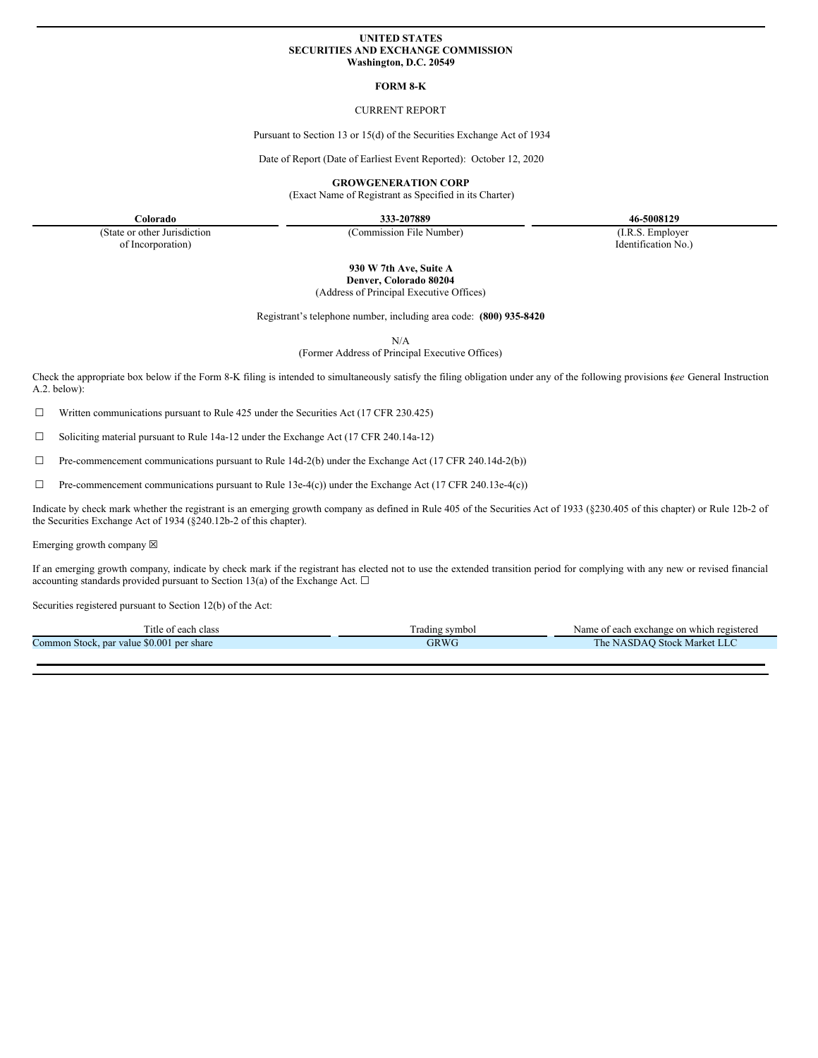### **UNITED STATES SECURITIES AND EXCHANGE COMMISSION Washington, D.C. 20549**

#### **FORM 8-K**

## CURRENT REPORT

Pursuant to Section 13 or 15(d) of the Securities Exchange Act of 1934

Date of Report (Date of Earliest Event Reported): October 12, 2020

**GROWGENERATION CORP**

(Exact Name of Registrant as Specified in its Charter)

**Colorado 333-207889 46-5008129**

(State or other Jurisdiction of Incorporation)

(Commission File Number) (I.R.S. Employer

Identification No.)

**930 W 7th Ave, Suite A Denver, Colorado 80204**

(Address of Principal Executive Offices)

Registrant's telephone number, including area code: **(800) 935-8420**

N/A

(Former Address of Principal Executive Offices)

Check the appropriate box below if the Form 8-K filing is intended to simultaneously satisfy the filing obligation under any of the following provisions (*see* General Instruction A.2. below):

☐ Written communications pursuant to Rule 425 under the Securities Act (17 CFR 230.425)

 $\Box$  Soliciting material pursuant to Rule 14a-12 under the Exchange Act (17 CFR 240.14a-12)

☐ Pre-commencement communications pursuant to Rule 14d-2(b) under the Exchange Act (17 CFR 240.14d-2(b))

 $\Box$  Pre-commencement communications pursuant to Rule 13e-4(c)) under the Exchange Act (17 CFR 240.13e-4(c))

Indicate by check mark whether the registrant is an emerging growth company as defined in Rule 405 of the Securities Act of 1933 (§230.405 of this chapter) or Rule 12b-2 of the Securities Exchange Act of 1934 (§240.12b-2 of this chapter).

Emerging growth company  $\boxtimes$ 

If an emerging growth company, indicate by check mark if the registrant has elected not to use the extended transition period for complying with any new or revised financial accounting standards provided pursuant to Section 13(a) of the Exchange Act.  $\Box$ 

Securities registered pursuant to Section 12(b) of the Act:

| ritle o'<br>each class:                      | Frading symbol | i exchange on which registered<br>Name of each |
|----------------------------------------------|----------------|------------------------------------------------|
| \$0,001 per share<br>Common Stock, par value | GRWC           | . Market LLC<br>l'he<br>I Stock<br>NASDAO      |
|                                              |                |                                                |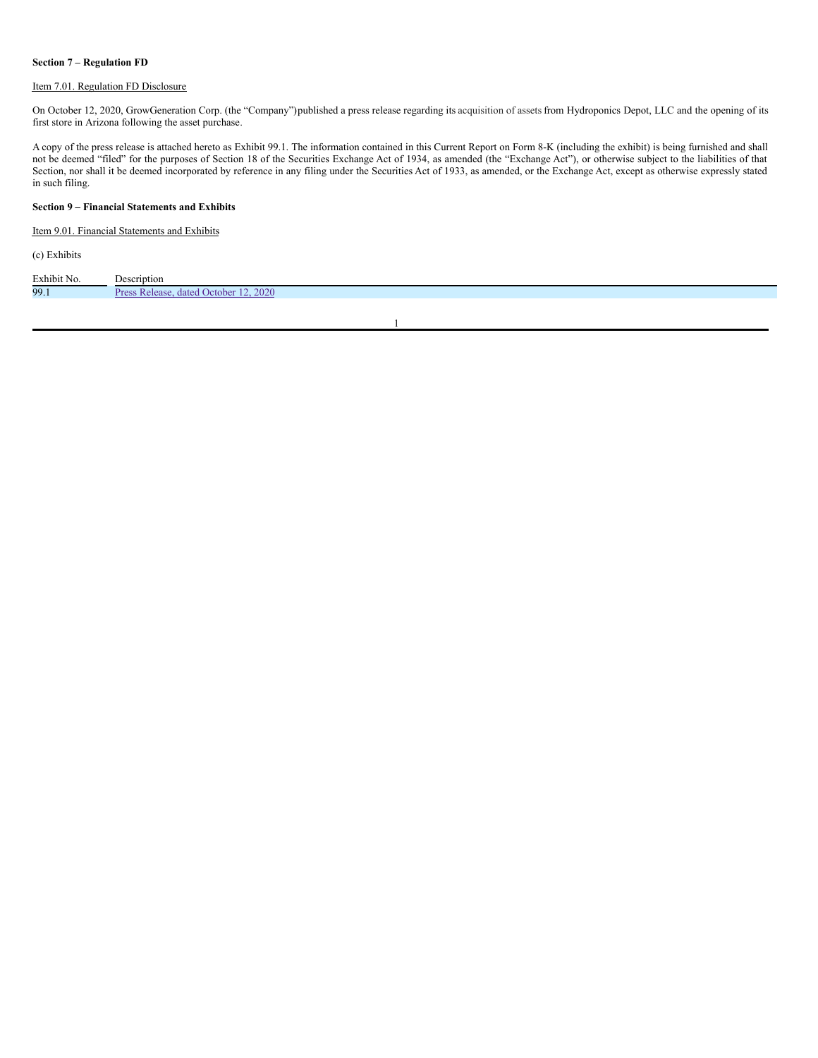## **Section 7 – Regulation FD**

## Item 7.01. Regulation FD Disclosure

On October 12, 2020, GrowGeneration Corp. (the "Company")published a press release regarding its acquisition of assetsfrom Hydroponics Depot, LLC and the opening of its first store in Arizona following the asset purchase.

A copy of the press release is attached hereto as Exhibit 99.1. The information contained in this Current Report on Form 8-K (including the exhibit) is being furnished and shall not be deemed "filed" for the purposes of Section 18 of the Securities Exchange Act of 1934, as amended (the "Exchange Act"), or otherwise subject to the liabilities of that Section, nor shall it be deemed incorporated by reference in any filing under the Securities Act of 1933, as amended, or the Exchange Act, except as otherwise expressly stated in such filing.

## **Section 9 – Financial Statements and Exhibits**

Item 9.01. Financial Statements and Exhibits

(c) Exhibits

| Exhibit No. | Description                     |
|-------------|---------------------------------|
| 99.1        | 2020<br>dated October<br>elease |

1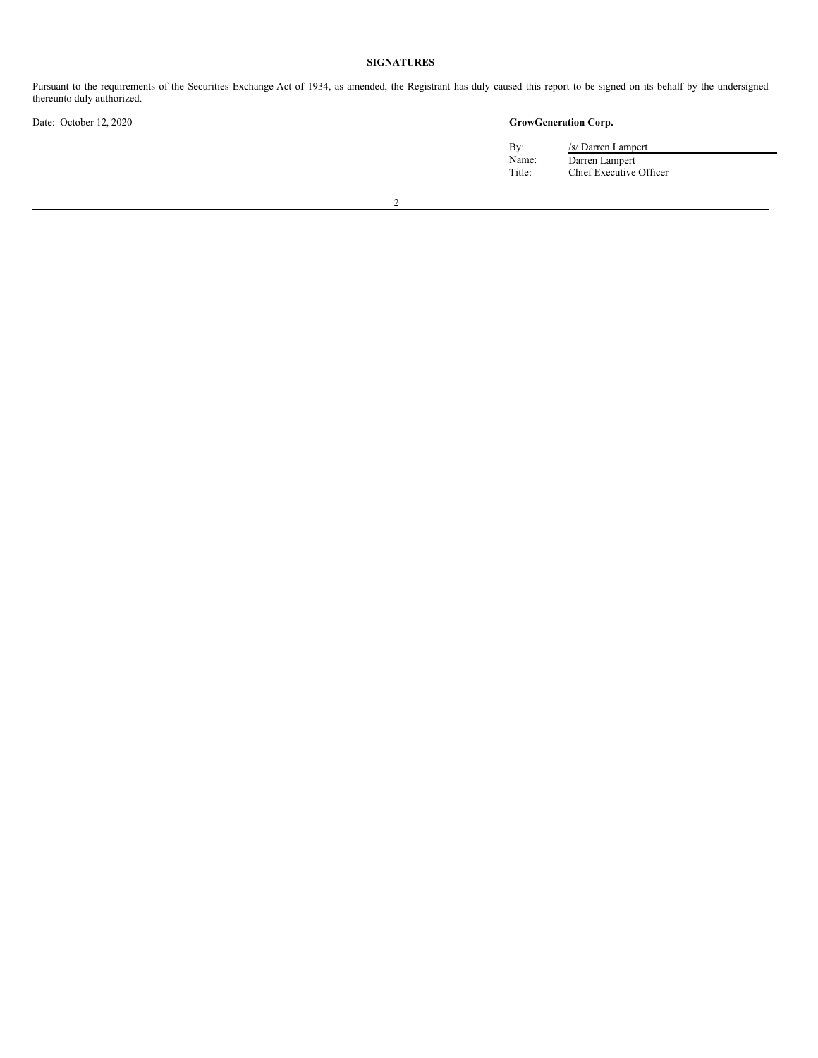## **SIGNATURES**

Pursuant to the requirements of the Securities Exchange Act of 1934, as amended, the Registrant has duly caused this report to be signed on its behalf by the undersigned thereunto duly authorized.

# Date: October 12, 2020 **GrowGeneration Corp.**

By: /s/ Darren Lampert Name: Darren Lampert Title: Chief Executive Officer